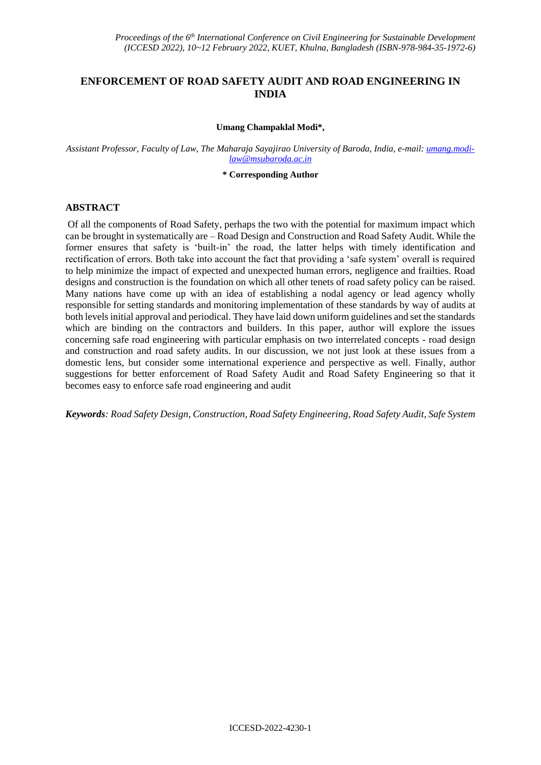# **ENFORCEMENT OF ROAD SAFETY AUDIT AND ROAD ENGINEERING IN INDIA**

#### **Umang Champaklal Modi\*,**

*Assistant Professor, Faculty of Law, The Maharaja Sayajirao University of Baroda, India, e-mail: [umang.modi](mailto:umang.modi-law@msubaroda.ac.in)[law@msubaroda.ac.in](mailto:umang.modi-law@msubaroda.ac.in)*

**\* Corresponding Author**

#### **ABSTRACT**

Of all the components of Road Safety, perhaps the two with the potential for maximum impact which can be brought in systematically are – Road Design and Construction and Road Safety Audit. While the former ensures that safety is 'built-in' the road, the latter helps with timely identification and rectification of errors. Both take into account the fact that providing a 'safe system' overall is required to help minimize the impact of expected and unexpected human errors, negligence and frailties. Road designs and construction is the foundation on which all other tenets of road safety policy can be raised. Many nations have come up with an idea of establishing a nodal agency or lead agency wholly responsible for setting standards and monitoring implementation of these standards by way of audits at both levels initial approval and periodical. They have laid down uniform guidelines and set the standards which are binding on the contractors and builders. In this paper, author will explore the issues concerning safe road engineering with particular emphasis on two interrelated concepts - road design and construction and road safety audits. In our discussion, we not just look at these issues from a domestic lens, but consider some international experience and perspective as well. Finally, author suggestions for better enforcement of Road Safety Audit and Road Safety Engineering so that it becomes easy to enforce safe road engineering and audit

*Keywords: Road Safety Design, Construction, Road Safety Engineering, Road Safety Audit, Safe System*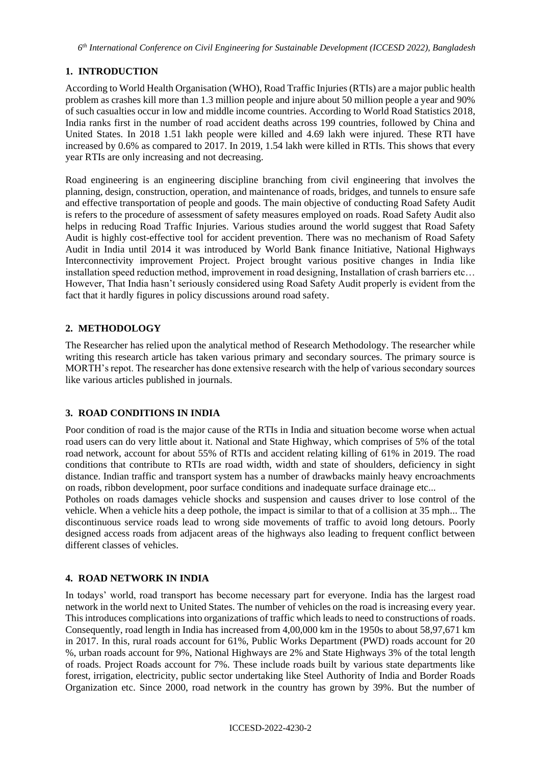# **1. INTRODUCTION**

According to World Health Organisation (WHO), Road Traffic Injuries (RTIs) are a major public health problem as crashes kill more than 1.3 million people and injure about 50 million people a year and 90% of such casualties occur in low and middle income countries. According to World Road Statistics 2018, India ranks first in the number of road accident deaths across 199 countries, followed by China and United States. In 2018 1.51 lakh people were killed and 4.69 lakh were injured. These RTI have increased by 0.6% as compared to 2017. In 2019, 1.54 lakh were killed in RTIs. This shows that every year RTIs are only increasing and not decreasing.

Road engineering is an engineering discipline branching from civil engineering that involves the planning, design, construction, operation, and maintenance of roads, bridges, and tunnels to ensure safe and effective transportation of people and goods. The main objective of conducting Road Safety Audit is refers to the procedure of assessment of safety measures employed on roads. Road Safety Audit also helps in reducing Road Traffic Injuries. Various studies around the world suggest that Road Safety Audit is highly cost-effective tool for accident prevention. There was no mechanism of Road Safety Audit in India until 2014 it was introduced by World Bank finance Initiative, National Highways Interconnectivity improvement Project. Project brought various positive changes in India like installation speed reduction method, improvement in road designing, Installation of crash barriers etc… However, That India hasn't seriously considered using Road Safety Audit properly is evident from the fact that it hardly figures in policy discussions around road safety.

# **2. METHODOLOGY**

The Researcher has relied upon the analytical method of Research Methodology. The researcher while writing this research article has taken various primary and secondary sources. The primary source is MORTH's repot. The researcher has done extensive research with the help of various secondary sources like various articles published in journals.

## **3. ROAD CONDITIONS IN INDIA**

Poor condition of road is the major cause of the RTIs in India and situation become worse when actual road users can do very little about it. National and State Highway, which comprises of 5% of the total road network, account for about 55% of RTIs and accident relating killing of 61% in 2019. The road conditions that contribute to RTIs are road width, width and state of shoulders, deficiency in sight distance. Indian traffic and transport system has a number of drawbacks mainly heavy encroachments on roads, ribbon development, poor surface conditions and inadequate surface drainage etc...

Potholes on roads damages vehicle shocks and suspension and causes driver to lose control of the vehicle. When a vehicle hits a deep pothole, the impact is similar to that of a collision at 35 mph... The discontinuous service roads lead to wrong side movements of traffic to avoid long detours. Poorly designed access roads from adjacent areas of the highways also leading to frequent conflict between different classes of vehicles.

## **4. ROAD NETWORK IN INDIA**

In todays' world, road transport has become necessary part for everyone. India has the largest road network in the world next to United States. The number of vehicles on the road is increasing every year. This introduces complications into organizations of traffic which leads to need to constructions of roads. Consequently, road length in India has increased from 4,00,000 km in the 1950s to about 58,97,671 km in 2017. In this, rural roads account for 61%, Public Works Department (PWD) roads account for 20 %, urban roads account for 9%, National Highways are 2% and State Highways 3% of the total length of roads. Project Roads account for 7%. These include roads built by various state departments like forest, irrigation, electricity, public sector undertaking like Steel Authority of India and Border Roads Organization etc. Since 2000, road network in the country has grown by 39%. But the number of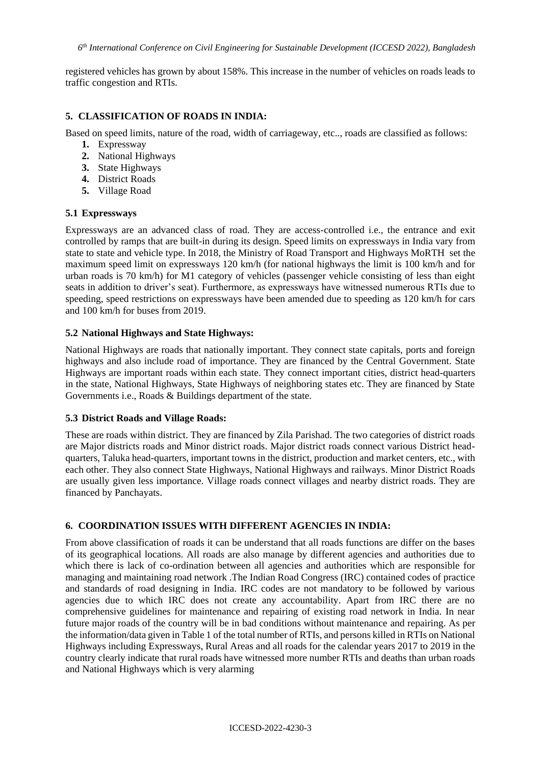registered vehicles has grown by about 158%. This increase in the number of vehicles on roads leads to traffic congestion and RTIs.

### **5. CLASSIFICATION OF ROADS IN INDIA:**

Based on speed limits, nature of the road, width of carriageway, etc.., roads are classified as follows:

- **1.** Expressway
- **2.** National Highways
- **3.** State Highways
- **4.** District Roads
- **5.** Village Road

#### **5.1 Expressways**

Expressways are an advanced class of road. They are access-controlled i.e., the entrance and exit controlled by ramps that are built-in during its design. Speed limits on expressways in India vary from state to state and vehicle type. In 2018, the Ministry of Road Transport and Highways MoRTH set the maximum speed limit on expressways 120 km/h (for national highways the limit is 100 km/h and for urban roads is 70 km/h) for M1 category of vehicles (passenger vehicle consisting of less than eight seats in addition to driver's seat). Furthermore, as expressways have witnessed numerous RTIs due to speeding, speed restrictions on expressways have been amended due to speeding as 120 km/h for cars and 100 km/h for buses from 2019.

#### **5.2 National Highways and State Highways:**

National Highways are roads that nationally important. They connect state capitals, ports and foreign highways and also include road of importance. They are financed by the Central Government. State Highways are important roads within each state. They connect important cities, district head-quarters in the state, National Highways, State Highways of neighboring states etc. They are financed by State Governments i.e., Roads & Buildings department of the state.

#### **5.3 District Roads and Village Roads:**

These are roads within district. They are financed by Zila Parishad. The two categories of district roads are Major districts roads and Minor district roads. Major district roads connect various District headquarters, Taluka head-quarters, important towns in the district, production and market centers, etc., with each other. They also connect State Highways, National Highways and railways. Minor District Roads are usually given less importance. Village roads connect villages and nearby district roads. They are financed by Panchayats.

### **6. COORDINATION ISSUES WITH DIFFERENT AGENCIES IN INDIA:**

From above classification of roads it can be understand that all roads functions are differ on the bases of its geographical locations. All roads are also manage by different agencies and authorities due to which there is lack of co-ordination between all agencies and authorities which are responsible for managing and maintaining road network .The Indian Road Congress (IRC) contained codes of practice and standards of road designing in India. IRC codes are not mandatory to be followed by various agencies due to which IRC does not create any accountability. Apart from IRC there are no comprehensive guidelines for maintenance and repairing of existing road network in India. In near future major roads of the country will be in bad conditions without maintenance and repairing. As per the information/data given in Table 1 of the total number of RTIs, and persons killed in RTIs on National Highways including Expressways, Rural Areas and all roads for the calendar years 2017 to 2019 in the country clearly indicate that rural roads have witnessed more number RTIs and deaths than urban roads and National Highways which is very alarming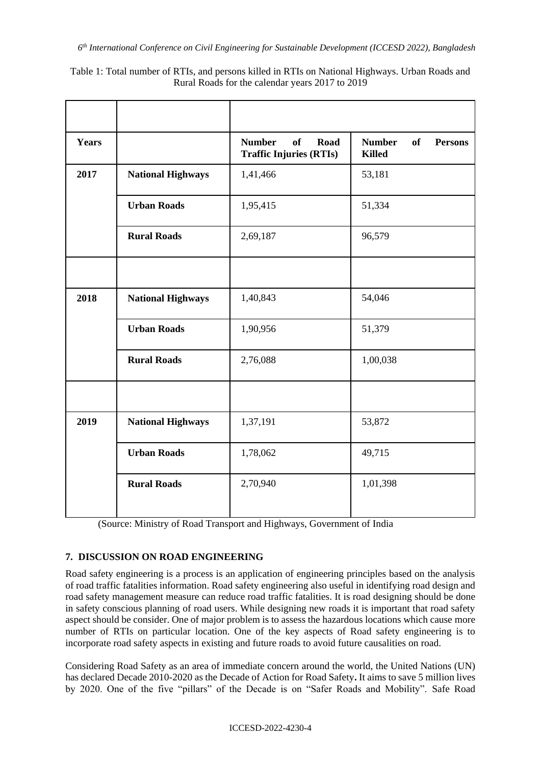Table 1: Total number of RTIs, and persons killed in RTIs on National Highways. Urban Roads and

| <b>Years</b> |                          | <b>Number</b><br>of<br>Road<br><b>Traffic Injuries (RTIs)</b> | <b>Number</b><br>of<br><b>Persons</b><br><b>Killed</b> |
|--------------|--------------------------|---------------------------------------------------------------|--------------------------------------------------------|
| 2017         | <b>National Highways</b> | 1,41,466                                                      | 53,181                                                 |
|              | <b>Urban Roads</b>       | 1,95,415                                                      | 51,334                                                 |
|              | <b>Rural Roads</b>       | 2,69,187                                                      | 96,579                                                 |
|              |                          |                                                               |                                                        |
| 2018         | <b>National Highways</b> | 1,40,843                                                      | 54,046                                                 |
|              | <b>Urban Roads</b>       | 1,90,956                                                      | 51,379                                                 |
|              | <b>Rural Roads</b>       | 2,76,088                                                      | 1,00,038                                               |
|              |                          |                                                               |                                                        |
| 2019         | <b>National Highways</b> | 1,37,191                                                      | 53,872                                                 |
|              | <b>Urban Roads</b>       | 1,78,062                                                      | 49,715                                                 |
|              | <b>Rural Roads</b>       | 2,70,940                                                      | 1,01,398                                               |
|              |                          |                                                               |                                                        |

<sup>(</sup>Source: Ministry of Road Transport and Highways, Government of India

## **7. DISCUSSION ON ROAD ENGINEERING**

Road safety engineering is a process is an application of engineering principles based on the analysis of road traffic fatalities information. Road safety engineering also useful in identifying road design and road safety management measure can reduce road traffic fatalities. It is road designing should be done in safety conscious planning of road users. While designing new roads it is important that road safety aspect should be consider. One of major problem is to assess the hazardous locations which cause more number of RTIs on particular location. One of the key aspects of Road safety engineering is to incorporate road safety aspects in existing and future roads to avoid future causalities on road.

Considering Road Safety as an area of immediate concern around the world, the United Nations (UN) has declared Decade 2010-2020 as the Decade of Action for Road Safety**.** It aims to save 5 million lives by 2020. One of the five "pillars" of the Decade is on "Safer Roads and Mobility". Safe Road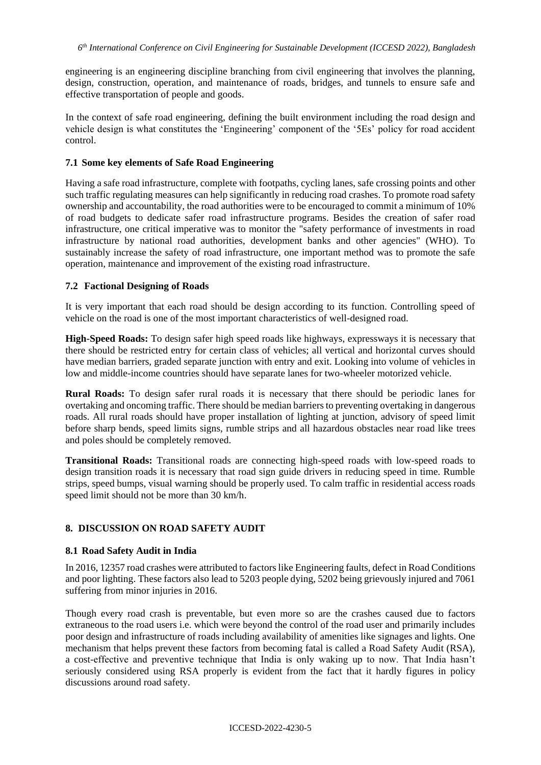engineering is an engineering discipline branching from civil engineering that involves the planning, design, construction, operation, and maintenance of roads, bridges, and tunnels to ensure safe and effective transportation of people and goods.

In the context of safe road engineering, defining the built environment including the road design and vehicle design is what constitutes the 'Engineering' component of the '5Es' policy for road accident control.

#### **7.1 Some key elements of Safe Road Engineering**

Having a safe road infrastructure, complete with footpaths, cycling lanes, safe crossing points and other such traffic regulating measures can help significantly in reducing road crashes. To promote road safety ownership and accountability, the road authorities were to be encouraged to commit a minimum of 10% of road budgets to dedicate safer road infrastructure programs. Besides the creation of safer road infrastructure, one critical imperative was to monitor the "safety performance of investments in road infrastructure by national road authorities, development banks and other agencies" (WHO). To sustainably increase the safety of road infrastructure, one important method was to promote the safe operation, maintenance and improvement of the existing road infrastructure.

### **7.2 Factional Designing of Roads**

It is very important that each road should be design according to its function. Controlling speed of vehicle on the road is one of the most important characteristics of well-designed road.

**High-Speed Roads:** To design safer high speed roads like highways, expressways it is necessary that there should be restricted entry for certain class of vehicles; all vertical and horizontal curves should have median barriers, graded separate junction with entry and exit. Looking into volume of vehicles in low and middle-income countries should have separate lanes for two-wheeler motorized vehicle.

**Rural Roads:** To design safer rural roads it is necessary that there should be periodic lanes for overtaking and oncoming traffic. There should be median barriers to preventing overtaking in dangerous roads. All rural roads should have proper installation of lighting at junction, advisory of speed limit before sharp bends, speed limits signs, rumble strips and all hazardous obstacles near road like trees and poles should be completely removed.

**Transitional Roads:** Transitional roads are connecting high-speed roads with low-speed roads to design transition roads it is necessary that road sign guide drivers in reducing speed in time. Rumble strips, speed bumps, visual warning should be properly used. To calm traffic in residential access roads speed limit should not be more than 30 km/h.

### **8. DISCUSSION ON ROAD SAFETY AUDIT**

### **8.1 Road Safety Audit in India**

In 2016, 12357 road crashes were attributed to factors like Engineering faults, defect in Road Conditions and poor lighting. These factors also lead to 5203 people dying, 5202 being grievously injured and 7061 suffering from minor injuries in 2016.

Though every road crash is preventable, but even more so are the crashes caused due to factors extraneous to the road users i.e. which were beyond the control of the road user and primarily includes poor design and infrastructure of roads including availability of amenities like signages and lights. One mechanism that helps prevent these factors from becoming fatal is called a Road Safety Audit (RSA), a cost-effective and preventive technique that India is only waking up to now. That India hasn't seriously considered using RSA properly is evident from the fact that it hardly figures in policy discussions around road safety.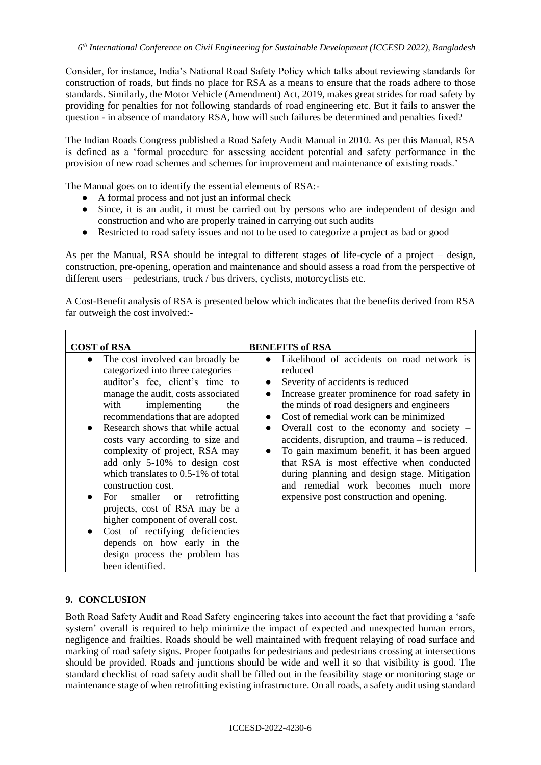Consider, for instance, India's National Road Safety Policy which talks about reviewing standards for construction of roads, but finds no place for RSA as a means to ensure that the roads adhere to those standards. Similarly, the Motor Vehicle (Amendment) Act, 2019, makes great strides for road safety by providing for penalties for not following standards of road engineering etc. But it fails to answer the question - in absence of mandatory RSA, how will such failures be determined and penalties fixed?

The Indian Roads Congress published a Road Safety Audit Manual in 2010. As per this Manual, RSA is defined as a 'formal procedure for assessing accident potential and safety performance in the provision of new road schemes and schemes for improvement and maintenance of existing roads.'

The Manual goes on to identify the essential elements of RSA:-

- A formal process and not just an informal check
- Since, it is an audit, it must be carried out by persons who are independent of design and construction and who are properly trained in carrying out such audits
- Restricted to road safety issues and not to be used to categorize a project as bad or good

As per the Manual, RSA should be integral to different stages of life-cycle of a project – design, construction, pre-opening, operation and maintenance and should assess a road from the perspective of different users – pedestrians, truck / bus drivers, cyclists, motorcyclists etc.

A Cost-Benefit analysis of RSA is presented below which indicates that the benefits derived from RSA far outweigh the cost involved:-

| <b>COST of RSA</b>                                                                                                                                                                                                                                                                                                                                                                                                                                                                                                                                                                                                                                                              | <b>BENEFITS of RSA</b>                                                                                                                                                                                                                                                                                                                                                                                                                                                                                                                                                  |  |  |
|---------------------------------------------------------------------------------------------------------------------------------------------------------------------------------------------------------------------------------------------------------------------------------------------------------------------------------------------------------------------------------------------------------------------------------------------------------------------------------------------------------------------------------------------------------------------------------------------------------------------------------------------------------------------------------|-------------------------------------------------------------------------------------------------------------------------------------------------------------------------------------------------------------------------------------------------------------------------------------------------------------------------------------------------------------------------------------------------------------------------------------------------------------------------------------------------------------------------------------------------------------------------|--|--|
| The cost involved can broadly be<br>$\bullet$<br>categorized into three categories -<br>auditor's fee, client's time to<br>manage the audit, costs associated<br>implementing<br>with<br>the<br>recommendations that are adopted<br>Research shows that while actual<br>costs vary according to size and<br>complexity of project, RSA may<br>add only 5-10% to design cost<br>which translates to $0.5-1\%$ of total<br>construction cost.<br>smaller or<br>retrofitting<br>For<br>projects, cost of RSA may be a<br>higher component of overall cost.<br>Cost of rectifying deficiencies<br>depends on how early in the<br>design process the problem has<br>been identified. | Likelihood of accidents on road network is<br>reduced<br>Severity of accidents is reduced<br>Increase greater prominence for road safety in<br>the minds of road designers and engineers<br>Cost of remedial work can be minimized<br>Overall cost to the economy and society $-$<br>$accidents,$ disruption, and trauma $-$ is reduced.<br>To gain maximum benefit, it has been argued<br>that RSA is most effective when conducted<br>during planning and design stage. Mitigation<br>and remedial work becomes much more<br>expensive post construction and opening. |  |  |

## **9. CONCLUSION**

Both Road Safety Audit and Road Safety engineering takes into account the fact that providing a 'safe system' overall is required to help minimize the impact of expected and unexpected human errors, negligence and frailties. Roads should be well maintained with frequent relaying of road surface and marking of road safety signs. Proper footpaths for pedestrians and pedestrians crossing at intersections should be provided. Roads and junctions should be wide and well it so that visibility is good. The standard checklist of road safety audit shall be filled out in the feasibility stage or monitoring stage or maintenance stage of when retrofitting existing infrastructure. On all roads, a safety audit using standard